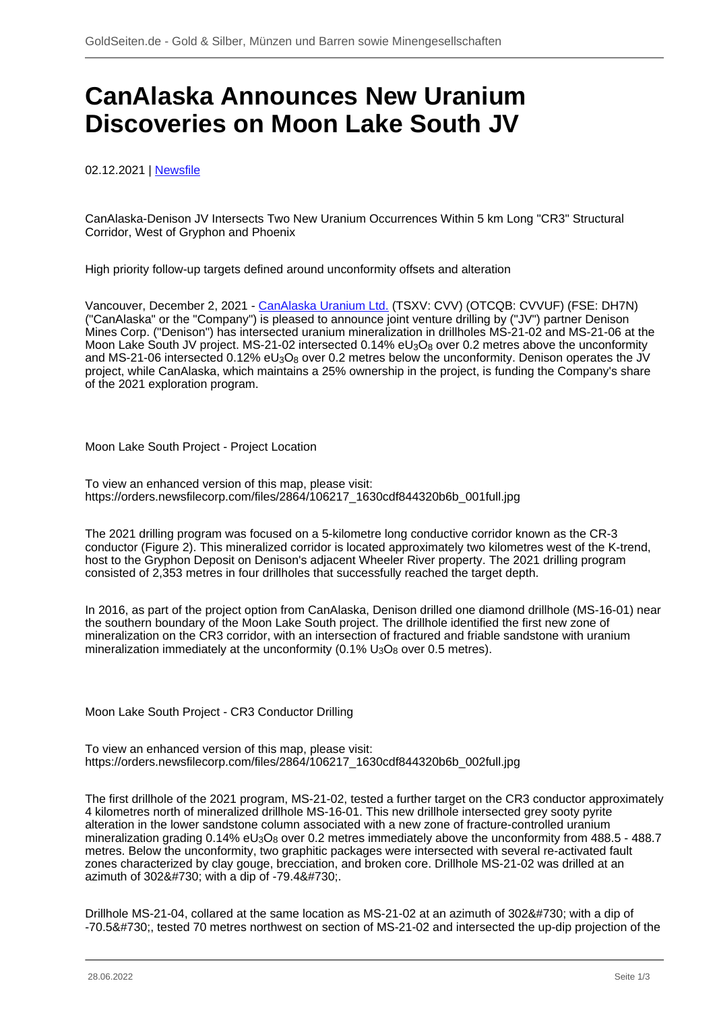## **CanAlaska Announces New Uranium Discoveries on Moon Lake South JV**

02.12.2021 | [Newsfile](/profil/273--Newsfile)

CanAlaska-Denison JV Intersects Two New Uranium Occurrences Within 5 km Long "CR3" Structural Corridor, West of Gryphon and Phoenix

High priority follow-up targets defined around unconformity offsets and alteration

Vancouver, December 2, 2021 - [CanAlaska Uranium Ltd.](/minen/569--CanAlaska-Uranium-Ltd) (TSXV: CVV) (OTCQB: CVVUF) (FSE: DH7N) ("CanAlaska" or the "Company") is pleased to announce joint venture drilling by ("JV") partner Denison Mines Corp. ("Denison") has intersected uranium mineralization in drillholes MS-21-02 and MS-21-06 at the Moon Lake South JV project. MS-21-02 intersected 0.14% eU<sub>3</sub>O<sub>8</sub> over 0.2 metres above the unconformity and MS-21-06 intersected 0.12% eU<sub>3</sub>O<sub>8</sub> over 0.2 metres below the unconformity. Denison operates the JV project, while CanAlaska, which maintains a 25% ownership in the project, is funding the Company's share of the 2021 exploration program.

Moon Lake South Project - Project Location

To view an enhanced version of this map, please visit: https://orders.newsfilecorp.com/files/2864/106217\_1630cdf844320b6b\_001full.jpg

The 2021 drilling program was focused on a 5-kilometre long conductive corridor known as the CR-3 conductor (Figure 2). This mineralized corridor is located approximately two kilometres west of the K-trend, host to the Gryphon Deposit on Denison's adjacent Wheeler River property. The 2021 drilling program consisted of 2,353 metres in four drillholes that successfully reached the target depth.

In 2016, as part of the project option from CanAlaska, Denison drilled one diamond drillhole (MS-16-01) near the southern boundary of the Moon Lake South project. The drillhole identified the first new zone of mineralization on the CR3 corridor, with an intersection of fractured and friable sandstone with uranium mineralization immediately at the unconformity  $(0.1\% \cup_{3} O_{8})$  over 0.5 metres).

Moon Lake South Project - CR3 Conductor Drilling

To view an enhanced version of this map, please visit: https://orders.newsfilecorp.com/files/2864/106217\_1630cdf844320b6b\_002full.jpg

The first drillhole of the 2021 program, MS-21-02, tested a further target on the CR3 conductor approximately 4 kilometres north of mineralized drillhole MS-16-01. This new drillhole intersected grey sooty pyrite alteration in the lower sandstone column associated with a new zone of fracture-controlled uranium mineralization grading  $0.14\%$  eU<sub>3</sub>O<sub>8</sub> over 0.2 metres immediately above the unconformity from 488.5 - 488.7 metres. Below the unconformity, two graphitic packages were intersected with several re-activated fault zones characterized by clay gouge, brecciation, and broken core. Drillhole MS-21-02 was drilled at an azimuth of  $3028#730$ ; with a dip of  $-79.48#730$ ;

Drillhole MS-21-04, collared at the same location as MS-21-02 at an azimuth of 302˚ with a dip of -70.5˚, tested 70 metres northwest on section of MS-21-02 and intersected the up-dip projection of the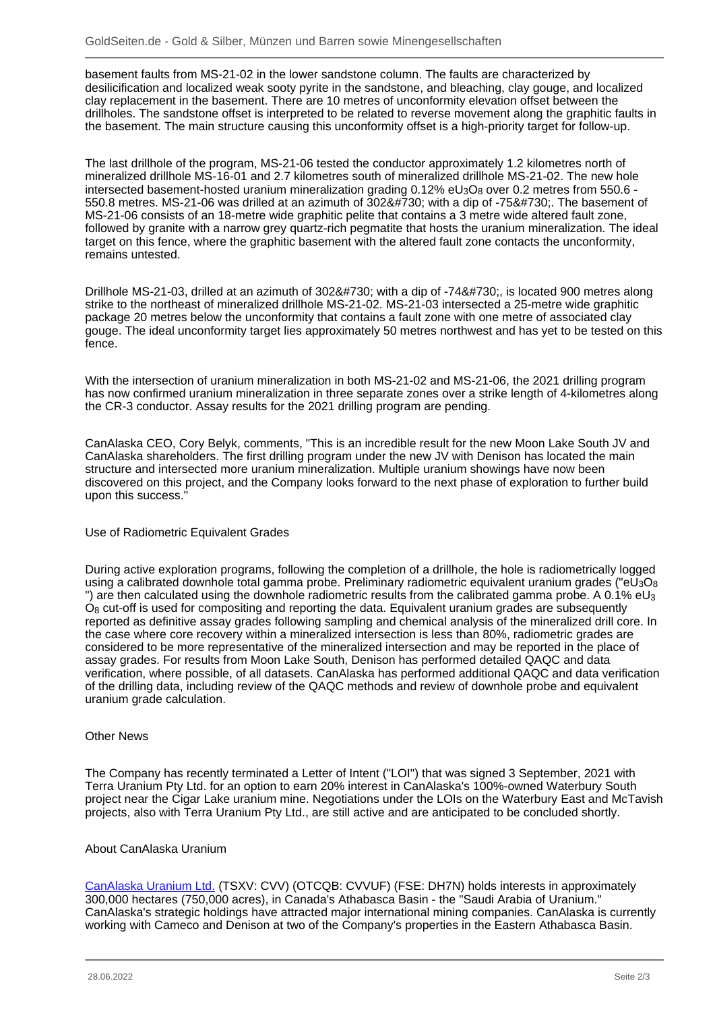basement faults from MS-21-02 in the lower sandstone column. The faults are characterized by desilicification and localized weak sooty pyrite in the sandstone, and bleaching, clay gouge, and localized clay replacement in the basement. There are 10 metres of unconformity elevation offset between the drillholes. The sandstone offset is interpreted to be related to reverse movement along the graphitic faults in the basement. The main structure causing this unconformity offset is a high-priority target for follow-up.

The last drillhole of the program, MS-21-06 tested the conductor approximately 1.2 kilometres north of mineralized drillhole MS-16-01 and 2.7 kilometres south of mineralized drillhole MS-21-02. The new hole intersected basement-hosted uranium mineralization grading  $0.12\%$  eU<sub>3</sub>O<sub>8</sub> over 0.2 metres from 550.6 -550.8 metres. MS-21-06 was drilled at an azimuth of 302˚ with a dip of -75˚. The basement of MS-21-06 consists of an 18-metre wide graphitic pelite that contains a 3 metre wide altered fault zone, followed by granite with a narrow grey quartz-rich pegmatite that hosts the uranium mineralization. The ideal target on this fence, where the graphitic basement with the altered fault zone contacts the unconformity, remains untested.

Drillhole MS-21-03, drilled at an azimuth of 302˚ with a dip of -74˚, is located 900 metres along strike to the northeast of mineralized drillhole MS-21-02. MS-21-03 intersected a 25-metre wide graphitic package 20 metres below the unconformity that contains a fault zone with one metre of associated clay gouge. The ideal unconformity target lies approximately 50 metres northwest and has yet to be tested on this fence.

With the intersection of uranium mineralization in both MS-21-02 and MS-21-06, the 2021 drilling program has now confirmed uranium mineralization in three separate zones over a strike length of 4-kilometres along the CR-3 conductor. Assay results for the 2021 drilling program are pending.

CanAlaska CEO, Cory Belyk, comments, "This is an incredible result for the new Moon Lake South JV and CanAlaska shareholders. The first drilling program under the new JV with Denison has located the main structure and intersected more uranium mineralization. Multiple uranium showings have now been discovered on this project, and the Company looks forward to the next phase of exploration to further build upon this success."

## Use of Radiometric Equivalent Grades

During active exploration programs, following the completion of a drillhole, the hole is radiometrically logged using a calibrated downhole total gamma probe. Preliminary radiometric equivalent uranium grades ("eU<sub>3</sub>O<sub>8</sub>) ") are then calculated using the downhole radiometric results from the calibrated gamma probe. A 0.1% eU<sub>3</sub> O8 cut-off is used for compositing and reporting the data. Equivalent uranium grades are subsequently reported as definitive assay grades following sampling and chemical analysis of the mineralized drill core. In the case where core recovery within a mineralized intersection is less than 80%, radiometric grades are considered to be more representative of the mineralized intersection and may be reported in the place of assay grades. For results from Moon Lake South, Denison has performed detailed QAQC and data verification, where possible, of all datasets. CanAlaska has performed additional QAQC and data verification of the drilling data, including review of the QAQC methods and review of downhole probe and equivalent uranium grade calculation.

## Other News

The Company has recently terminated a Letter of Intent ("LOI") that was signed 3 September, 2021 with Terra Uranium Pty Ltd. for an option to earn 20% interest in CanAlaska's 100%-owned Waterbury South project near the Cigar Lake uranium mine. Negotiations under the LOIs on the Waterbury East and McTavish projects, also with Terra Uranium Pty Ltd., are still active and are anticipated to be concluded shortly.

## About CanAlaska Uranium

[CanAlaska Uranium Ltd.](/minen/569--CanAlaska-Uranium-Ltd) (TSXV: CVV) (OTCQB: CVVUF) (FSE: DH7N) holds interests in approximately 300,000 hectares (750,000 acres), in Canada's Athabasca Basin - the "Saudi Arabia of Uranium." CanAlaska's strategic holdings have attracted major international mining companies. CanAlaska is currently working with Cameco and Denison at two of the Company's properties in the Eastern Athabasca Basin.